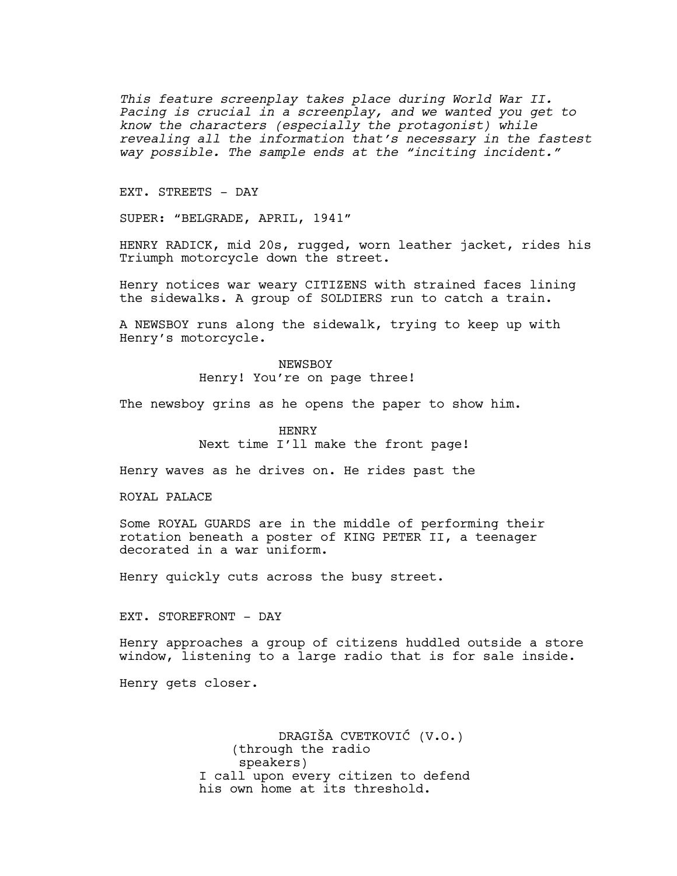*This feature screenplay takes place during World War II. Pacing is crucial in a screenplay, and we wanted you get to know the characters (especially the protagonist) while revealing all the information that's necessary in the fastest way possible. The sample ends at the "inciting incident."*

EXT. STREETS - DAY

SUPER: "BELGRADE, APRIL, 1941"

HENRY RADICK, mid 20s, rugged, worn leather jacket, rides his Triumph motorcycle down the street.

Henry notices war weary CITIZENS with strained faces lining the sidewalks. A group of SOLDIERS run to catch a train.

A NEWSBOY runs along the sidewalk, trying to keep up with Henry's motorcycle.

> NEWSBOY Henry! You're on page three!

The newsboy grins as he opens the paper to show him.

HENRY Next time I'll make the front page!

Henry waves as he drives on. He rides past the

ROYAL PALACE

Some ROYAL GUARDS are in the middle of performing their rotation beneath a poster of KING PETER II, a teenager decorated in a war uniform.

Henry quickly cuts across the busy street.

EXT. STOREFRONT - DAY

Henry approaches a group of citizens huddled outside a store window, listening to a large radio that is for sale inside.

Henry gets closer.

DRAGIŠA CVETKOVIĆ (V.O.) (through the radio speakers) I call upon every citizen to defend his own home at its threshold.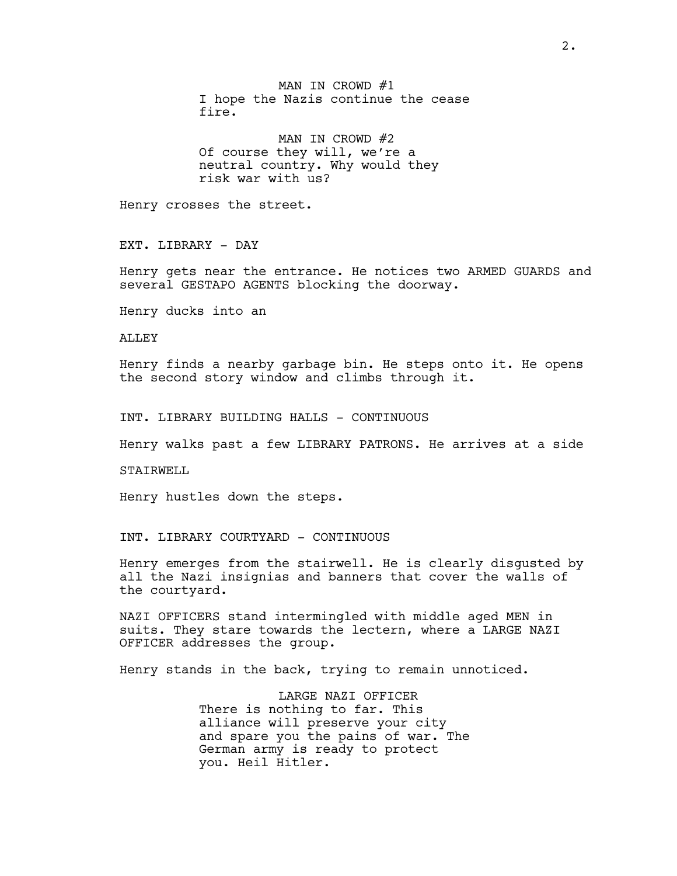MAN IN CROWD #1 I hope the Nazis continue the cease fire.

MAN IN CROWD #2 Of course they will, we're a neutral country. Why would they risk war with us?

Henry crosses the street.

EXT. LIBRARY - DAY

Henry gets near the entrance. He notices two ARMED GUARDS and several GESTAPO AGENTS blocking the doorway.

Henry ducks into an

ALLEY

Henry finds a nearby garbage bin. He steps onto it. He opens the second story window and climbs through it.

INT. LIBRARY BUILDING HALLS - CONTINUOUS

Henry walks past a few LIBRARY PATRONS. He arrives at a side

STAIRWELL

Henry hustles down the steps.

INT. LIBRARY COURTYARD - CONTINUOUS

Henry emerges from the stairwell. He is clearly disgusted by all the Nazi insignias and banners that cover the walls of the courtyard.

NAZI OFFICERS stand intermingled with middle aged MEN in suits. They stare towards the lectern, where a LARGE NAZI OFFICER addresses the group.

Henry stands in the back, trying to remain unnoticed.

LARGE NAZI OFFICER There is nothing to far. This alliance will preserve your city and spare you the pains of war. The German army is ready to protect you. Heil Hitler.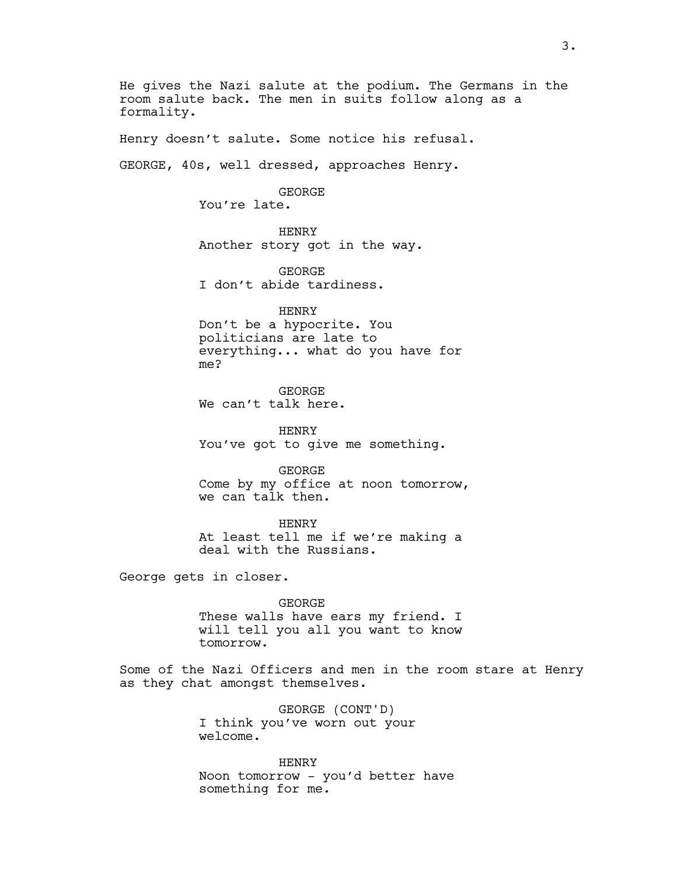He gives the Nazi salute at the podium. The Germans in the room salute back. The men in suits follow along as a formality.

Henry doesn't salute. Some notice his refusal.

GEORGE, 40s, well dressed, approaches Henry.

GEORGE You're late.

HENRY Another story got in the way.

GEORGE I don't abide tardiness.

HENRY Don't be a hypocrite. You politicians are late to everything... what do you have for me?

GEORGE We can't talk here.

HENRY You've got to give me something.

GEORGE Come by my office at noon tomorrow, we can talk then.

HENRY At least tell me if we're making a deal with the Russians.

George gets in closer.

GEORGE

These walls have ears my friend. I will tell you all you want to know tomorrow.

Some of the Nazi Officers and men in the room stare at Henry as they chat amongst themselves.

> GEORGE (CONT'D) I think you've worn out your welcome.

HENRY Noon tomorrow - you'd better have something for me.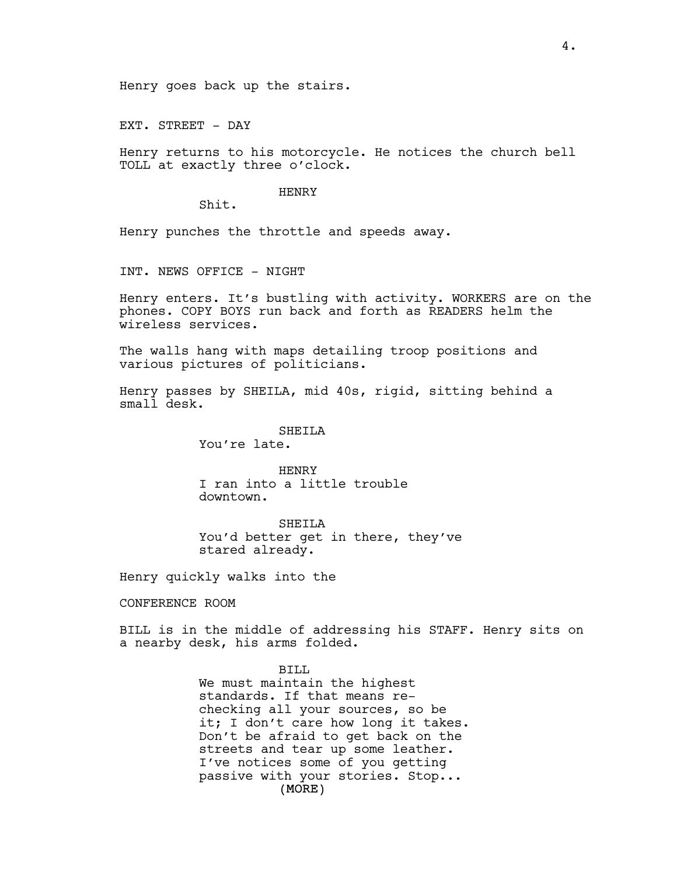Henry goes back up the stairs.

EXT. STREET - DAY

Henry returns to his motorcycle. He notices the church bell TOLL at exactly three o'clock.

## HENRY

Shit.

Henry punches the throttle and speeds away.

INT. NEWS OFFICE - NIGHT

Henry enters. It's bustling with activity. WORKERS are on the phones. COPY BOYS run back and forth as READERS helm the wireless services.

The walls hang with maps detailing troop positions and various pictures of politicians.

Henry passes by SHEILA, mid 40s, rigid, sitting behind a small desk.

SHEILA

You're late.

HENRY I ran into a little trouble downtown.

SHEILA You'd better get in there, they've stared already.

Henry quickly walks into the

CONFERENCE ROOM

BILL is in the middle of addressing his STAFF. Henry sits on a nearby desk, his arms folded.

BILL

(MORE) We must maintain the highest standards. If that means rechecking all your sources, so be it; I don't care how long it takes. Don't be afraid to get back on the streets and tear up some leather. I've notices some of you getting passive with your stories. Stop...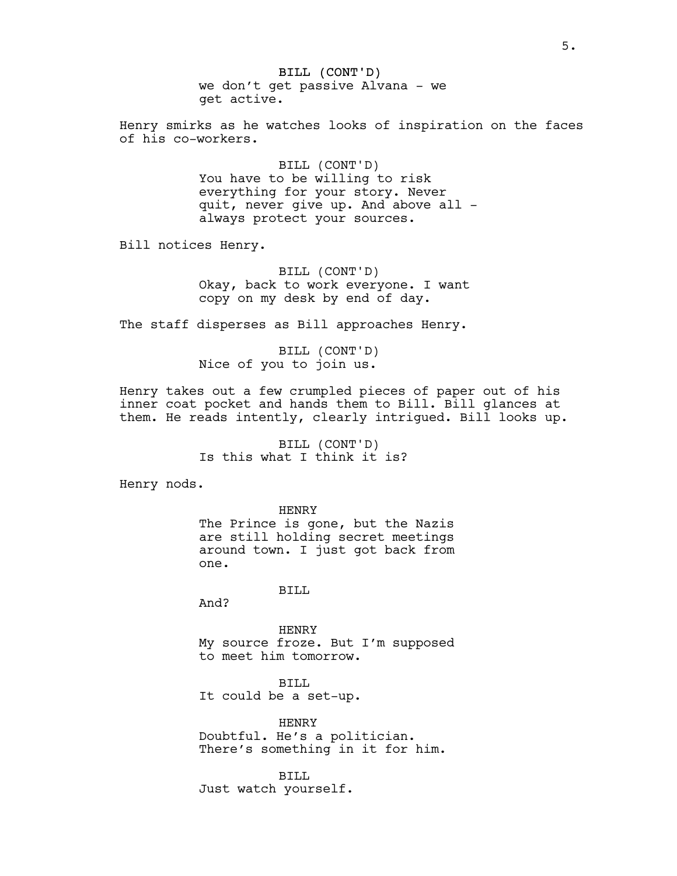BILL (CONT'D) we don't get passive Alvana - we get active.

Henry smirks as he watches looks of inspiration on the faces of his co-workers.

> BILL (CONT'D) You have to be willing to risk everything for your story. Never quit, never give up. And above all always protect your sources.

Bill notices Henry.

BILL (CONT'D) Okay, back to work everyone. I want copy on my desk by end of day.

The staff disperses as Bill approaches Henry.

BILL (CONT'D) Nice of you to join us.

Henry takes out a few crumpled pieces of paper out of his inner coat pocket and hands them to Bill. Bill glances at them. He reads intently, clearly intrigued. Bill looks up.

> BILL (CONT'D) Is this what I think it is?

Henry nods.

HENRY The Prince is gone, but the Nazis are still holding secret meetings around town. I just got back from one.

BILL

And?

HENRY My source froze. But I'm supposed to meet him tomorrow.

BILL It could be a set-up.

HENRY Doubtful. He's a politician. There's something in it for him.

BILL Just watch yourself.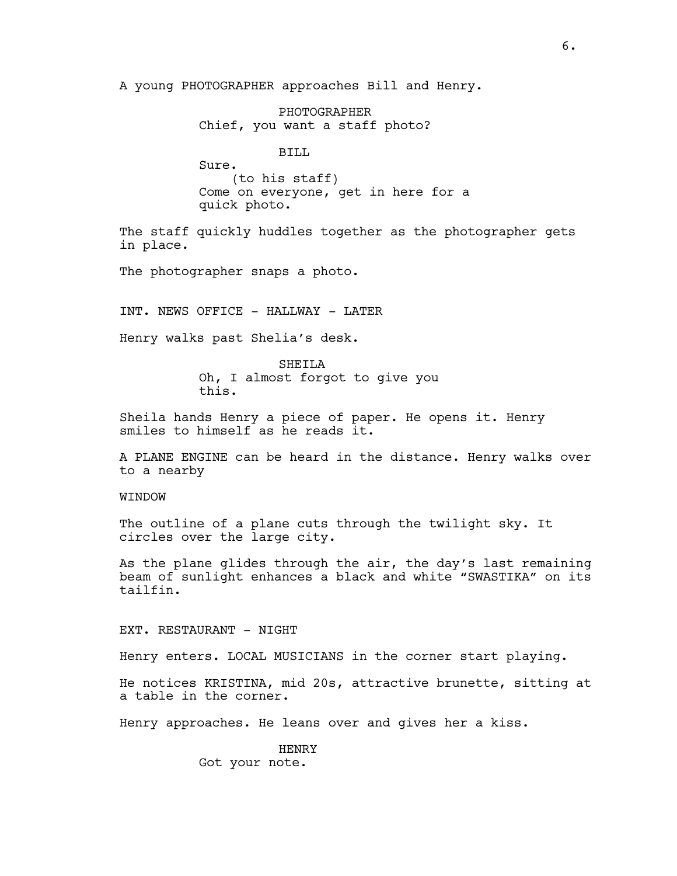A young PHOTOGRAPHER approaches Bill and Henry.

PHOTOGRAPHER Chief, you want a staff photo?

BILL

Sure. (to his staff) Come on everyone, get in here for a quick photo.

The staff quickly huddles together as the photographer gets in place.

The photographer snaps a photo.

INT. NEWS OFFICE - HALLWAY - LATER

Henry walks past Shelia's desk.

SHEILA Oh, I almost forgot to give you this.

Sheila hands Henry a piece of paper. He opens it. Henry smiles to himself as he reads it.

A PLANE ENGINE can be heard in the distance. Henry walks over to a nearby

**WINDOW** 

The outline of a plane cuts through the twilight sky. It circles over the large city.

As the plane glides through the air, the day's last remaining beam of sunlight enhances a black and white "SWASTIKA" on its tailfin.

EXT. RESTAURANT - NIGHT

Henry enters. LOCAL MUSICIANS in the corner start playing.

He notices KRISTINA, mid 20s, attractive brunette, sitting at a table in the corner.

Henry approaches. He leans over and gives her a kiss.

HENRY Got your note.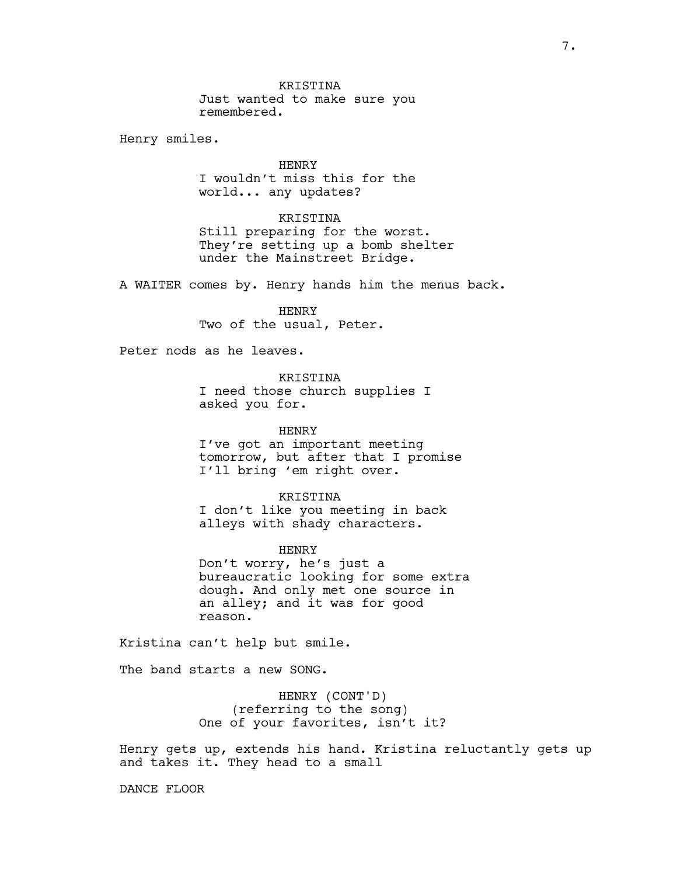KRISTINA Just wanted to make sure you remembered.

Henry smiles.

HENRY I wouldn't miss this for the world... any updates?

KRISTINA Still preparing for the worst. They're setting up a bomb shelter under the Mainstreet Bridge.

A WAITER comes by. Henry hands him the menus back.

HENRY Two of the usual, Peter.

Peter nods as he leaves.

KRISTINA

I need those church supplies I asked you for.

HENRY I've got an important meeting tomorrow, but after that I promise I'll bring 'em right over.

KRISTINA I don't like you meeting in back alleys with shady characters.

HENRY Don't worry, he's just a bureaucratic looking for some extra dough. And only met one source in an alley; and it was for good reason.

Kristina can't help but smile.

The band starts a new SONG.

HENRY (CONT'D) (referring to the song) One of your favorites, isn't it?

Henry gets up, extends his hand. Kristina reluctantly gets up and takes it. They head to a small

DANCE FLOOR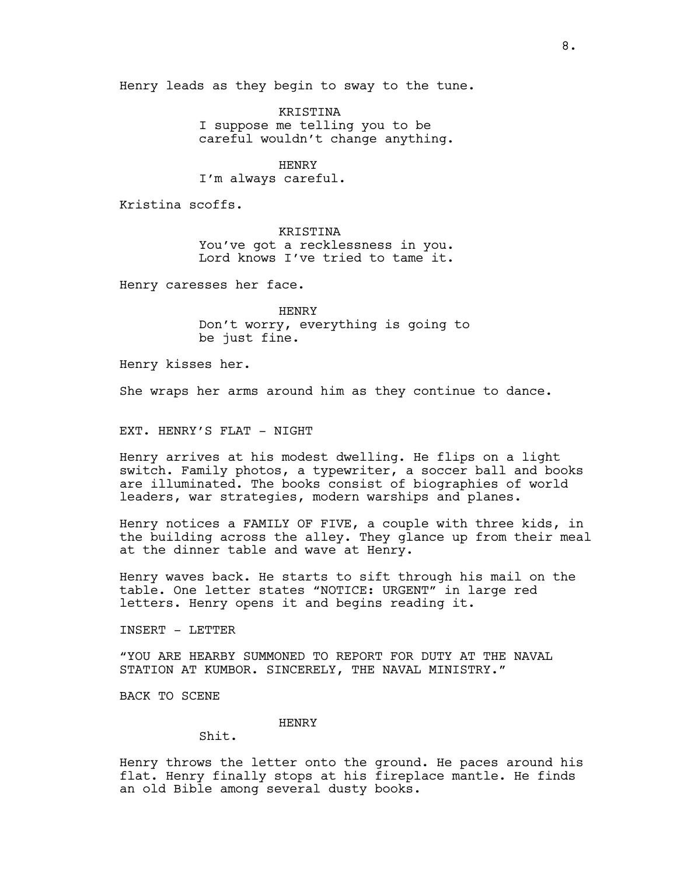Henry leads as they begin to sway to the tune.

KRISTINA I suppose me telling you to be careful wouldn't change anything.

HENRY I'm always careful.

Kristina scoffs.

KRISTINA You've got a recklessness in you. Lord knows I've tried to tame it.

Henry caresses her face.

HENRY Don't worry, everything is going to be just fine.

Henry kisses her.

She wraps her arms around him as they continue to dance.

EXT. HENRY'S FLAT - NIGHT

Henry arrives at his modest dwelling. He flips on a light switch. Family photos, a typewriter, a soccer ball and books are illuminated. The books consist of biographies of world leaders, war strategies, modern warships and planes.

Henry notices a FAMILY OF FIVE, a couple with three kids, in the building across the alley. They glance up from their meal at the dinner table and wave at Henry.

Henry waves back. He starts to sift through his mail on the table. One letter states "NOTICE: URGENT" in large red letters. Henry opens it and begins reading it.

INSERT - LETTER

"YOU ARE HEARBY SUMMONED TO REPORT FOR DUTY AT THE NAVAL STATION AT KUMBOR. SINCERELY, THE NAVAL MINISTRY."

BACK TO SCENE

## HENRY

Shit.

Henry throws the letter onto the ground. He paces around his flat. Henry finally stops at his fireplace mantle. He finds an old Bible among several dusty books.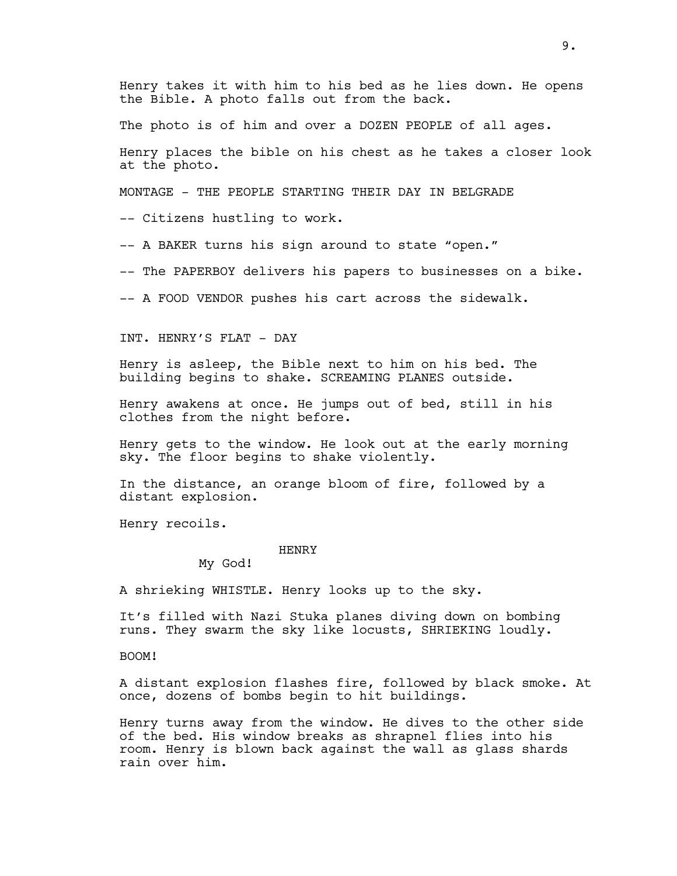Henry takes it with him to his bed as he lies down. He opens the Bible. A photo falls out from the back.

The photo is of him and over a DOZEN PEOPLE of all ages.

Henry places the bible on his chest as he takes a closer look at the photo.

MONTAGE - THE PEOPLE STARTING THEIR DAY IN BELGRADE

-- Citizens hustling to work.

-- A BAKER turns his sign around to state "open."

-- The PAPERBOY delivers his papers to businesses on a bike.

-- A FOOD VENDOR pushes his cart across the sidewalk.

INT. HENRY'S FLAT - DAY

Henry is asleep, the Bible next to him on his bed. The building begins to shake. SCREAMING PLANES outside.

Henry awakens at once. He jumps out of bed, still in his clothes from the night before.

Henry gets to the window. He look out at the early morning sky. The floor begins to shake violently.

In the distance, an orange bloom of fire, followed by a distant explosion.

Henry recoils.

HENRY

My God!

A shrieking WHISTLE. Henry looks up to the sky.

It's filled with Nazi Stuka planes diving down on bombing runs. They swarm the sky like locusts, SHRIEKING loudly.

BOOM!

A distant explosion flashes fire, followed by black smoke. At once, dozens of bombs begin to hit buildings.

Henry turns away from the window. He dives to the other side of the bed. His window breaks as shrapnel flies into his room. Henry is blown back against the wall as glass shards rain over him.